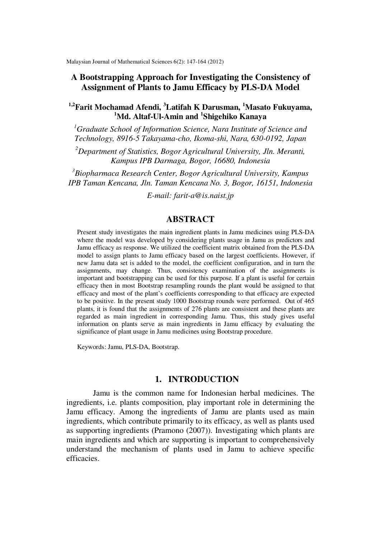Malaysian Journal of Mathematical Sciences 6(2): 147-164 (2012)

# **A Bootstrapping Approach for Investigating the Consistency of Assignment of Plants to Jamu Efficacy by PLS-DA Model**

**1,2Farit Mochamad Afendi, <sup>3</sup>Latifah K Darusman, <sup>1</sup>Masato Fukuyama, <sup>1</sup>Md. Altaf-Ul-Amin and <sup>1</sup> Shigehiko Kanaya** 

*<sup>1</sup>Graduate School of Information Science, Nara Institute of Science and Technology, 8916-5 Takayama-cho, Ikoma-shi, Nara, 630-0192, Japan* 

*<sup>2</sup>Department of Statistics, Bogor Agricultural University, Jln. Meranti, Kampus IPB Darmaga, Bogor, 16680, Indonesia* 

*<sup>3</sup>Biopharmaca Research Center, Bogor Agricultural University, Kampus IPB Taman Kencana, Jln. Taman Kencana No. 3, Bogor, 16151, Indonesia*

*E-mail: farit-a@is.naist.jp* 

# **ABSTRACT**

Present study investigates the main ingredient plants in Jamu medicines using PLS-DA where the model was developed by considering plants usage in Jamu as predictors and Jamu efficacy as response. We utilized the coefficient matrix obtained from the PLS-DA model to assign plants to Jamu efficacy based on the largest coefficients. However, if new Jamu data set is added to the model, the coefficient configuration, and in turn the assignments, may change. Thus, consistency examination of the assignments is important and bootstrapping can be used for this purpose. If a plant is useful for certain efficacy then in most Bootstrap resampling rounds the plant would be assigned to that efficacy and most of the plant's coefficients corresponding to that efficacy are expected to be positive. In the present study 1000 Bootstrap rounds were performed. Out of 465 plants, it is found that the assignments of 276 plants are consistent and these plants are regarded as main ingredient in corresponding Jamu. Thus, this study gives useful information on plants serve as main ingredients in Jamu efficacy by evaluating the significance of plant usage in Jamu medicines using Bootstrap procedure.

Keywords: Jamu, PLS-DA, Bootstrap.

# **1. INTRODUCTION**

Jamu is the common name for Indonesian herbal medicines. The ingredients, i.e. plants composition, play important role in determining the Jamu efficacy. Among the ingredients of Jamu are plants used as main ingredients, which contribute primarily to its efficacy, as well as plants used as supporting ingredients (Pramono (2007)). Investigating which plants are main ingredients and which are supporting is important to comprehensively understand the mechanism of plants used in Jamu to achieve specific efficacies.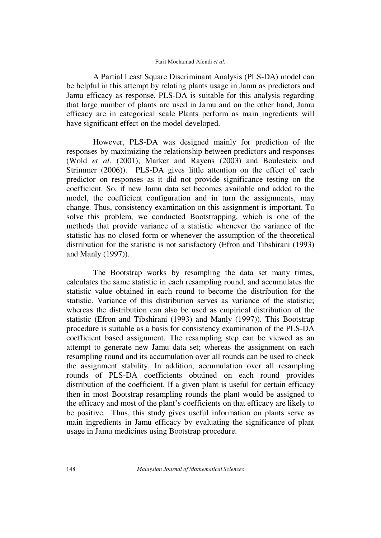A Partial Least Square Discriminant Analysis (PLS-DA) model can be helpful in this attempt by relating plants usage in Jamu as predictors and Jamu efficacy as response. PLS-DA is suitable for this analysis regarding that large number of plants are used in Jamu and on the other hand, Jamu efficacy are in categorical scale Plants perform as main ingredients will have significant effect on the model developed.

However, PLS-DA was designed mainly for prediction of the responses by maximizing the relationship between predictors and responses (Wold *et al*. (2001); Marker and Rayens (2003) and Boulesteix and Strimmer (2006)). PLS-DA gives little attention on the effect of each predictor on responses as it did not provide significance testing on the coefficient. So, if new Jamu data set becomes available and added to the model, the coefficient configuration and in turn the assignments, may change. Thus, consistency examination on this assignment is important. To solve this problem, we conducted Bootstrapping, which is one of the methods that provide variance of a statistic whenever the variance of the statistic has no closed form or whenever the assumption of the theoretical distribution for the statistic is not satisfactory (Efron and Tibshirani (1993) and Manly (1997)).

The Bootstrap works by resampling the data set many times, calculates the same statistic in each resampling round, and accumulates the statistic value obtained in each round to become the distribution for the statistic. Variance of this distribution serves as variance of the statistic; whereas the distribution can also be used as empirical distribution of the statistic (Efron and Tibshirani (1993) and Manly (1997)). This Bootstrap procedure is suitable as a basis for consistency examination of the PLS-DA coefficient based assignment. The resampling step can be viewed as an attempt to generate new Jamu data set; whereas the assignment on each resampling round and its accumulation over all rounds can be used to check the assignment stability. In addition, accumulation over all resampling rounds of PLS-DA coefficients obtained on each round provides distribution of the coefficient. If a given plant is useful for certain efficacy then in most Bootstrap resampling rounds the plant would be assigned to the efficacy and most of the plant's coefficients on that efficacy are likely to be positive. Thus, this study gives useful information on plants serve as main ingredients in Jamu efficacy by evaluating the significance of plant usage in Jamu medicines using Bootstrap procedure.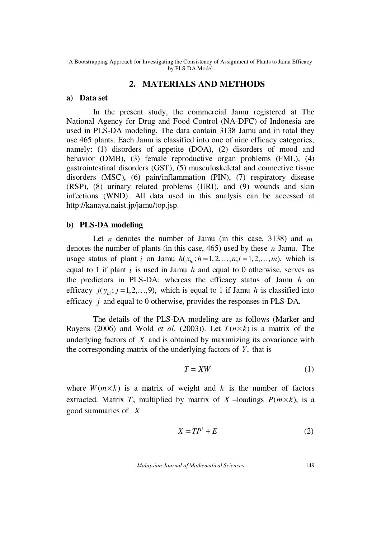# **2. MATERIALS AND METHODS**

### **a) Data set**

 In the present study, the commercial Jamu registered at The National Agency for Drug and Food Control (NA-DFC) of Indonesia are used in PLS-DA modeling. The data contain 3138 Jamu and in total they use 465 plants. Each Jamu is classified into one of nine efficacy categories, namely: (1) disorders of appetite (DOA), (2) disorders of mood and behavior (DMB), (3) female reproductive organ problems (FML), (4) gastrointestinal disorders (GST), (5) musculoskeletal and connective tissue disorders (MSC), (6) pain/inflammation (PIN), (7) respiratory disease (RSP), (8) urinary related problems (URI), and (9) wounds and skin infections (WND). All data used in this analysis can be accessed at http://kanaya.naist.jp/jamu/top.jsp.

## **b) PLS-DA modeling**

 Let *n* denotes the number of Jamu (in this case, 3138) and *m* denotes the number of plants (in this case, 465) used by these *n* Jamu. The usage status of plant *i* on Jamu  $h(x_{hi}; h=1,2,\ldots,n; i=1,2,\ldots,m)$ , which is equal to 1 if plant *i* is used in Jamu *h* and equal to 0 otherwise, serves as the predictors in PLS-DA; whereas the efficacy status of Jamu *h* on efficacy  $j(y_{hi}; j=1,2,\ldots,9)$ , which is equal to 1 if Jamu *h* is classified into efficacy *j* and equal to 0 otherwise, provides the responses in PLS-DA.

 The details of the PLS-DA modeling are as follows (Marker and Rayens (2006) and Wold *et al.* (2003)). Let  $T(n \times k)$  is a matrix of the underlying factors of *X* and is obtained by maximizing its covariance with the corresponding matrix of the underlying factors of *Y*, that is

$$
T = XW \tag{1}
$$

where  $W(m \times k)$  is a matrix of weight and k is the number of factors extracted. Matrix *T*, multiplied by matrix of *X* –loadings  $P(m \times k)$ , is a good summaries of *X*

$$
X = TP^t + E \tag{2}
$$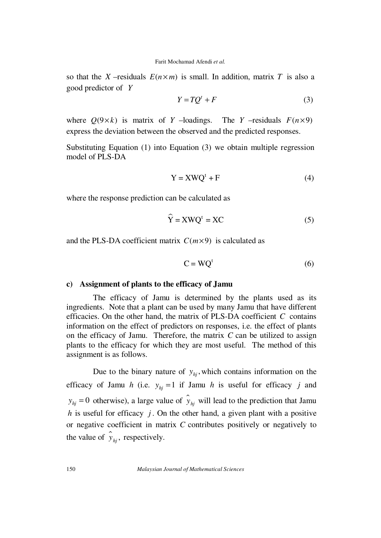so that the *X* –residuals  $E(n \times m)$  is small. In addition, matrix *T* is also a good predictor of *Y*

$$
Y = TQ^t + F \tag{3}
$$

where  $Q(9 \times k)$  is matrix of *Y* –loadings. The *Y* –residuals  $F(n \times 9)$ express the deviation between the observed and the predicted responses.

Substituting Equation (1) into Equation (3) we obtain multiple regression model of PLS-DA

$$
Y = XWQ^{t} + F
$$
 (4)

where the response prediction can be calculated as

$$
\hat{Y} = XWQ^{t} = XC
$$
 (5)

and the PLS-DA coefficient matrix  $C(m \times 9)$  is calculated as

$$
C = WQt
$$
 (6)

## **c) Assignment of plants to the efficacy of Jamu**

 The efficacy of Jamu is determined by the plants used as its ingredients. Note that a plant can be used by many Jamu that have different efficacies. On the other hand, the matrix of PLS-DA coefficient *C* contains information on the effect of predictors on responses, i.e. the effect of plants on the efficacy of Jamu. Therefore, the matrix *C* can be utilized to assign plants to the efficacy for which they are most useful. The method of this assignment is as follows.

Due to the binary nature of  $y_{hj}$ , which contains information on the efficacy of Jamu *h* (i.e.  $y_{hi} = 1$  if Jamu *h* is useful for efficacy *j* and  $y_{hj} = 0$  otherwise), a large value of  $\hat{y}_{hj}$  will lead to the prediction that Jamu *h* is useful for efficacy *j*. On the other hand, a given plant with a positive or negative coefficient in matrix *C* contributes positively or negatively to the value of  $\hat{y}_{hj}$ , respectively.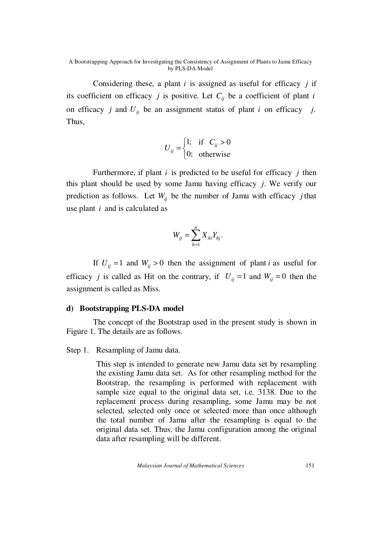Considering these, a plant *i* is assigned as useful for efficacy *j* if its coefficient on efficacy *j* is positive. Let  $C_i$  be a coefficient of plant *i* on efficacy *j* and  $U_{ii}$  be an assignment status of plant *i* on efficacy *j*. Thus,

$$
U_{ij} = \begin{cases} 1; & \text{if } C_{ij} > 0 \\ 0; & \text{otherwise} \end{cases}
$$

 Furthermore, if plant *i* is predicted to be useful for efficacy *j* then this plant should be used by some Jamu having efficacy *j*. We verify our prediction as follows. Let  $W_{ii}$  be the number of Jamu with efficacy *j* that use plant *i* and is calculated as

$$
W_{ij} = \sum_{h=1}^n X_{hi} Y_{hj}.
$$

If  $U_{ii} = 1$  and  $W_{ii} > 0$  then the assignment of plant *i* as useful for efficacy *j* is called as Hit on the contrary, if  $U_{ij} = 1$  and  $W_{ij} = 0$  then the assignment is called as Miss.

## **d) Bootstrapping PLS-DA model**

 The concept of the Bootstrap used in the present study is shown in Figure 1. The details are as follows.

## Step 1. Resampling of Jamu data.

 This step is intended to generate new Jamu data set by resampling the existing Jamu data set. As for other resampling method for the Bootstrap, the resampling is performed with replacement with sample size equal to the original data set, i.e. 3138. Due to the replacement process during resampling, some Jamu may be not selected, selected only once or selected more than once although the total number of Jamu after the resampling is equal to the original data set. Thus, the Jamu configuration among the original data after resampling will be different.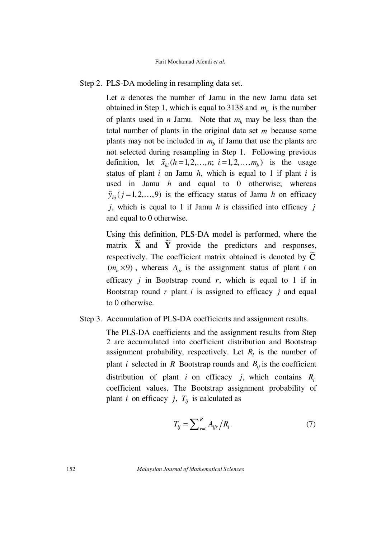## Step 2. PLS-DA modeling in resampling data set.

Let *n* denotes the number of Jamu in the new Jamu data set obtained in Step 1, which is equal to 3138 and  $m_b$  is the number of plants used in *n* Jamu. Note that  $m_b$  may be less than the total number of plants in the original data set *m* because some plants may not be included in  $m_b$  if Jamu that use the plants are not selected during resampling in Step 1. Following previous definition, let  $\tilde{x}_{hi}$  ( $h = 1, 2, ..., n; i = 1, 2, ..., m_b$ ) is the usage status of plant  $i$  on Jamu  $h$ , which is equal to 1 if plant  $i$  is used in Jamu *h* and equal to 0 otherwise; whereas  $\tilde{y}_{hi}$  ( $j = 1, 2, \ldots, 9$ ) is the efficacy status of Jamu *h* on efficacy *j*, which is equal to 1 if Jamu *h* is classified into efficacy *j* and equal to 0 otherwise.

Using this definition, PLS-DA model is performed, where the matrix  $\widetilde{\mathbf{X}}$  and  $\widetilde{\mathbf{Y}}$  provide the predictors and responses, respectively. The coefficient matrix obtained is denoted by  $\tilde{C}$  $(m_h \times 9)$ , whereas  $A_{ir}$  is the assignment status of plant *i* on efficacy  $j$  in Bootstrap round  $r$ , which is equal to 1 if in Bootstrap round *r* plant *i* is assigned to efficacy *j* and equal to 0 otherwise.

## Step 3. Accumulation of PLS-DA coefficients and assignment results.

The PLS-DA coefficients and the assignment results from Step 2 are accumulated into coefficient distribution and Bootstrap assignment probability, respectively. Let  $R_i$  is the number of plant *i* selected in *R* Bootstrap rounds and  $B_{ii}$  is the coefficient distribution of plant *i* on efficacy *j*, which contains *R<sup>i</sup>* coefficient values. The Bootstrap assignment probability of plant *i* on efficacy *j*,  $T_{ij}$  is calculated as

$$
T_{ij} = \sum_{r=1}^{R} A_{ijr} / R_i.
$$
 (7)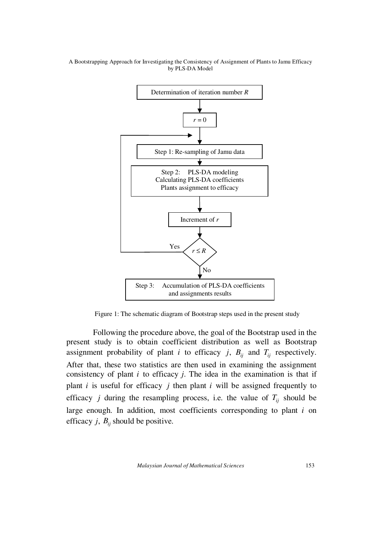

Figure 1: The schematic diagram of Bootstrap steps used in the present study

 Following the procedure above, the goal of the Bootstrap used in the present study is to obtain coefficient distribution as well as Bootstrap assignment probability of plant *i* to efficacy *j*,  $B_{ij}$  and  $T_{ij}$  respectively. After that, these two statistics are then used in examining the assignment consistency of plant *i* to efficacy *j*. The idea in the examination is that if plant  $i$  is useful for efficacy  $j$  then plant  $i$  will be assigned frequently to efficacy *j* during the resampling process, i.e. the value of  $T_{ij}$  should be large enough. In addition, most coefficients corresponding to plant *i* on efficacy *j*,  $B_{ii}$  should be positive.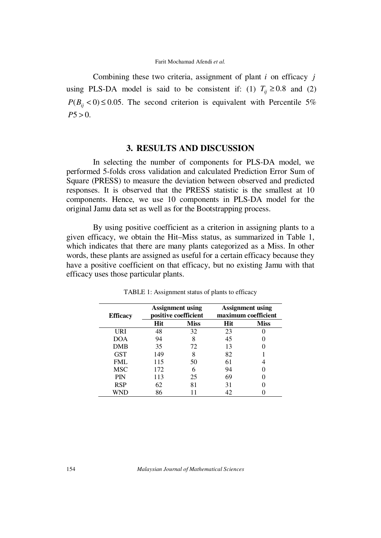Combining these two criteria, assignment of plant *i* on efficacy *j* using PLS-DA model is said to be consistent if: (1)  $T_i \ge 0.8$  and (2)  $P(B_{ii} < 0) \le 0.05$ . The second criterion is equivalent with Percentile 5%  $P5 > 0$ .

# **3. RESULTS AND DISCUSSION**

In selecting the number of components for PLS-DA model, we performed 5-folds cross validation and calculated Prediction Error Sum of Square (PRESS) to measure the deviation between observed and predicted responses. It is observed that the PRESS statistic is the smallest at 10 components. Hence, we use 10 components in PLS-DA model for the original Jamu data set as well as for the Bootstrapping process.

By using positive coefficient as a criterion in assigning plants to a given efficacy, we obtain the Hit–Miss status, as summarized in Table 1, which indicates that there are many plants categorized as a Miss. In other words, these plants are assigned as useful for a certain efficacy because they have a positive coefficient on that efficacy, but no existing Jamu with that efficacy uses those particular plants.

| <b>Efficacy</b> | <b>Assignment using</b><br>positive coefficient |             | <b>Assignment</b> using<br>maximum coefficient |             |
|-----------------|-------------------------------------------------|-------------|------------------------------------------------|-------------|
|                 | Hit                                             | <b>Miss</b> | Hit                                            | <b>Miss</b> |
| URI             | 48                                              | 32          | 23                                             |             |
| DOA             | 94                                              |             | 45                                             |             |
| DMB             | 35                                              | 72          | 13                                             |             |
| <b>GST</b>      | 149                                             |             | 82                                             |             |
| FML             | 115                                             | 50          | 61                                             |             |
| MSC             | 172                                             |             | 94                                             |             |
| <b>PIN</b>      | 113                                             | 25          | 69                                             |             |
| <b>RSP</b>      | 62                                              | 81          | 31                                             |             |
|                 | 86                                              |             |                                                |             |

TABLE 1: Assignment status of plants to efficacy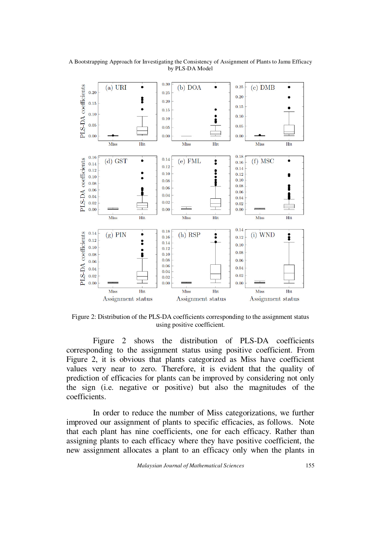

A Bootstrapping Approach for Investigating the Consistency of Assignment of Plants to Jamu Efficacy by PLS-DA Model

Figure 2: Distribution of the PLS-DA coefficients corresponding to the assignment status using positive coefficient.

Figure 2 shows the distribution of PLS-DA coefficients corresponding to the assignment status using positive coefficient. From Figure 2, it is obvious that plants categorized as Miss have coefficient values very near to zero. Therefore, it is evident that the quality of prediction of efficacies for plants can be improved by considering not only the sign (i.e. negative or positive) but also the magnitudes of the coefficients.

In order to reduce the number of Miss categorizations, we further improved our assignment of plants to specific efficacies, as follows. Note that each plant has nine coefficients, one for each efficacy. Rather than assigning plants to each efficacy where they have positive coefficient, the new assignment allocates a plant to an efficacy only when the plants in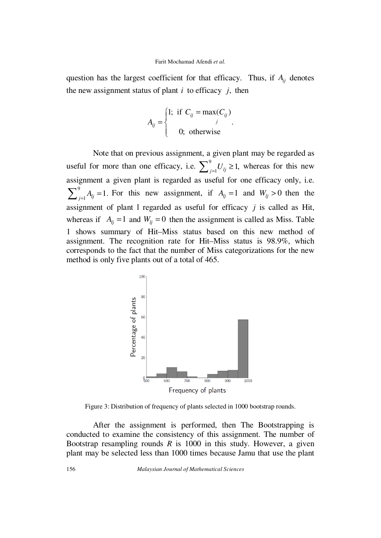question has the largest coefficient for that efficacy. Thus, if  $A_{ji}$  denotes the new assignment status of plant *i* to efficacy *j*, then

$$
A_{ij} = \begin{cases} 1; & \text{if } C_{ij} = \max(C_{ij}) \\ 0; & \text{otherwise} \end{cases}
$$

Note that on previous assignment, a given plant may be regarded as useful for more than one efficacy, i.e.  $\sum_{j=1}^{9} U_{ij} \ge 1$ , whereas for this new assignment a given plant is regarded as useful for one efficacy only, i.e. 9  $\sum_{j=1}^{9} A_{lj} = 1$ . For this new assignment, if  $A_{lj} = 1$  and  $W_{lj} > 0$  then the assignment of plant l regarded as useful for efficacy *j* is called as Hit, whereas if  $A_{li} = 1$  and  $W_{li} = 0$  then the assignment is called as Miss. Table 1 shows summary of Hit–Miss status based on this new method of assignment. The recognition rate for Hit–Miss status is 98.9%, which corresponds to the fact that the number of Miss categorizations for the new method is only five plants out of a total of 465.



Figure 3: Distribution of frequency of plants selected in 1000 bootstrap rounds.

After the assignment is performed, then The Bootstrapping is conducted to examine the consistency of this assignment. The number of Bootstrap resampling rounds *R* is 1000 in this study. However, a given plant may be selected less than 1000 times because Jamu that use the plant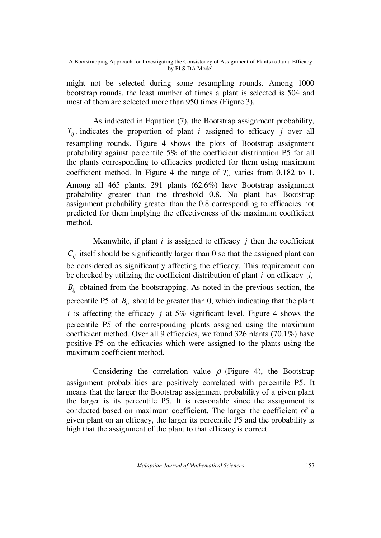might not be selected during some resampling rounds. Among 1000 bootstrap rounds, the least number of times a plant is selected is 504 and most of them are selected more than 950 times (Figure 3).

As indicated in Equation (7), the Bootstrap assignment probability,  $T_{ii}$ , indicates the proportion of plant *i* assigned to efficacy *j* over all resampling rounds. Figure 4 shows the plots of Bootstrap assignment probability against percentile 5% of the coefficient distribution P5 for all the plants corresponding to efficacies predicted for them using maximum coefficient method. In Figure 4 the range of  $T_i$  varies from 0.182 to 1. Among all 465 plants, 291 plants (62.6%) have Bootstrap assignment probability greater than the threshold 0.8. No plant has Bootstrap assignment probability greater than the 0.8 corresponding to efficacies not predicted for them implying the effectiveness of the maximum coefficient method.

Meanwhile, if plant  $i$  is assigned to efficacy  $j$  then the coefficient  $C_{ii}$  itself should be significantly larger than 0 so that the assigned plant can be considered as significantly affecting the efficacy. This requirement can be checked by utilizing the coefficient distribution of plant *i* on efficacy *j*,  $B_{ij}$  obtained from the bootstrapping. As noted in the previous section, the percentile P5 of  $B_{ii}$  should be greater than 0, which indicating that the plant *i* is affecting the efficacy *j* at 5% significant level. Figure 4 shows the percentile P5 of the corresponding plants assigned using the maximum coefficient method. Over all 9 efficacies, we found 326 plants (70.1%) have positive P5 on the efficacies which were assigned to the plants using the maximum coefficient method.

Considering the correlation value  $\rho$  (Figure 4), the Bootstrap assignment probabilities are positively correlated with percentile P5. It means that the larger the Bootstrap assignment probability of a given plant the larger is its percentile P5. It is reasonable since the assignment is conducted based on maximum coefficient. The larger the coefficient of a given plant on an efficacy, the larger its percentile P5 and the probability is high that the assignment of the plant to that efficacy is correct.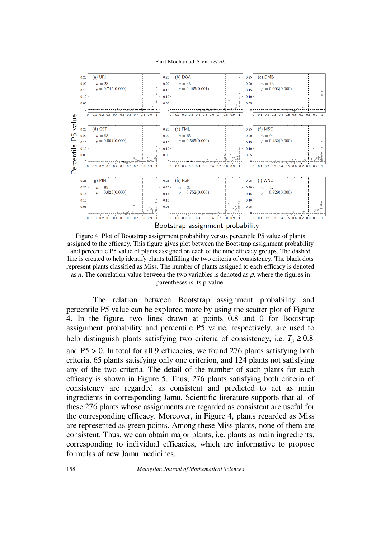Farit Mochamad Afendi *et al.*



Figure 4: Plot of Bootstrap assignment probability versus percentile P5 value of plants assigned to the efficacy. This figure gives plot between the Bootstrap assignment probability and percentile P5 value of plants assigned on each of the nine efficacy groups. The dashed line is created to help identify plants fulfilling the two criteria of consistency. The black dots represent plants classified as Miss. The number of plants assigned to each efficacy is denoted as  $n$ . The correlation value between the two variables is denoted as  $\rho$ , where the figures in parentheses is its p-value.

The relation between Bootstrap assignment probability and percentile P5 value can be explored more by using the scatter plot of Figure 4. In the figure, two lines drawn at points 0.8 and 0 for Bootstrap assignment probability and percentile P5 value, respectively, are used to help distinguish plants satisfying two criteria of consistency, i.e.  $T_i \geq 0.8$ and P5 > 0. In total for all 9 efficacies, we found 276 plants satisfying both criteria, 65 plants satisfying only one criterion, and 124 plants not satisfying any of the two criteria. The detail of the number of such plants for each efficacy is shown in Figure 5. Thus, 276 plants satisfying both criteria of consistency are regarded as consistent and predicted to act as main ingredients in corresponding Jamu. Scientific literature supports that all of these 276 plants whose assignments are regarded as consistent are useful for the corresponding efficacy. Moreover, in Figure 4, plants regarded as Miss are represented as green points. Among these Miss plants, none of them are consistent. Thus, we can obtain major plants, i.e. plants as main ingredients, corresponding to individual efficacies, which are informative to propose formulas of new Jamu medicines.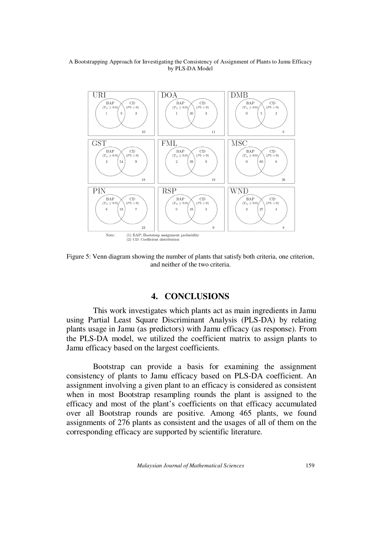

Figure 5: Venn diagram showing the number of plants that satisfy both criteria, one criterion, and neither of the two criteria.

# **4. CONCLUSIONS**

 This work investigates which plants act as main ingredients in Jamu using Partial Least Square Discriminant Analysis (PLS-DA) by relating plants usage in Jamu (as predictors) with Jamu efficacy (as response). From the PLS-DA model, we utilized the coefficient matrix to assign plants to Jamu efficacy based on the largest coefficients.

 Bootstrap can provide a basis for examining the assignment consistency of plants to Jamu efficacy based on PLS-DA coefficient. An assignment involving a given plant to an efficacy is considered as consistent when in most Bootstrap resampling rounds the plant is assigned to the efficacy and most of the plant's coefficients on that efficacy accumulated over all Bootstrap rounds are positive. Among 465 plants, we found assignments of 276 plants as consistent and the usages of all of them on the corresponding efficacy are supported by scientific literature.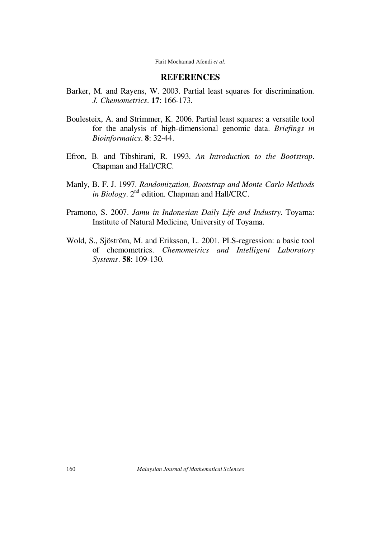# **REFERENCES**

- Barker, M. and Rayens, W. 2003. Partial least squares for discrimination. *J. Chemometrics*. **17**: 166-173.
- Boulesteix, A. and Strimmer, K. 2006. Partial least squares: a versatile tool for the analysis of high-dimensional genomic data. *Briefings in Bioinformatics*. **8**: 32-44.
- Efron, B. and Tibshirani, R. 1993. *An Introduction to the Bootstrap*. Chapman and Hall/CRC.
- Manly, B. F. J. 1997. *Randomization, Bootstrap and Monte Carlo Methods*  in Biology. 2<sup>nd</sup> edition. Chapman and Hall/CRC.
- Pramono, S. 2007. *Jamu in Indonesian Daily Life and Industry*. Toyama: Institute of Natural Medicine, University of Toyama.
- Wold, S., Sjöström, M. and Eriksson, L. 2001. PLS-regression: a basic tool of chemometrics. *Chemometrics and Intelligent Laboratory Systems*. **58**: 109-130.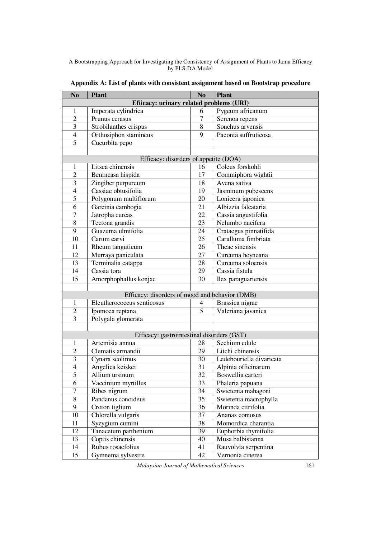| N <sub>0</sub>          | <b>Plant</b>                                   | $\mathbf{N}\mathbf{o}$ | <b>Plant</b>             |  |
|-------------------------|------------------------------------------------|------------------------|--------------------------|--|
|                         | Efiicacy: urinary related problems (URI)       |                        |                          |  |
| 1                       | Imperata cylindrica                            |                        | Pygeum africanum         |  |
| $\overline{2}$          | Prunus cerasus                                 | 7                      | Serenoa repens           |  |
| $\overline{\mathbf{3}}$ | Strobilanthes crispus                          | 8                      | Sonchus arvensis         |  |
|                         | $\overline{4}$<br>Orthosiphon stamineus        |                        | Paeonia suffruticosa     |  |
|                         | $\overline{5}$<br>Cucurbita pepo               |                        |                          |  |
|                         |                                                |                        |                          |  |
|                         | Efficacy: disorders of appetite (DOA)          |                        |                          |  |
| 1                       | Litsea chinensis                               | 16                     | Coleus forskohli         |  |
| $\overline{2}$          | Benincasa hispida                              | 17                     | Commiphora wightii       |  |
| $\overline{3}$          | Zingiber purpureum                             | 18                     | Avena sativa             |  |
| $\overline{4}$          | Cassiae obtusifolia                            | $\overline{19}$        | Jasminum pubescens       |  |
| 5                       | Polygonum multiflorum                          | $\overline{20}$        | Lonicera japonica        |  |
| $\overline{6}$          | Garcinia cambogia                              | 21                     | Albizzia falcataria      |  |
| $\overline{7}$          | Jatropha curcas                                | 22                     | Cassia angustifolia      |  |
| $\overline{8}$          | Tectona grandis                                | 23                     | Nelumbo nucifera         |  |
| $\overline{9}$          | Guazuma ulmifolia                              | 24                     | Crataegus pinnatifida    |  |
| $\overline{10}$         | Carum carvi                                    | 25                     | Caralluma fimbriata      |  |
| $\overline{11}$         | Rheum tanguticum                               | 26                     | Theae sinensis           |  |
| 12                      | Murraya paniculata                             | $\overline{27}$        | Curcuma heyneana         |  |
| 13                      | Terminalia catappa                             | 28                     | Curcuma soloensis        |  |
| 14                      | Cassia tora                                    | 29                     | Cassia fistula           |  |
| $\overline{15}$         | Amorphophallus konjac                          | 30                     | Ilex paraguariensis      |  |
|                         |                                                |                        |                          |  |
|                         | Efficacy: disorders of mood and behavior (DMB) |                        |                          |  |
| $\mathbf{1}$            | Eleutherococcus senticosus                     | 4                      | Brassica nigrae          |  |
| $\overline{2}$          | Ipomoea reptana                                | $\overline{5}$         | Valeriana javanica       |  |
| $\overline{3}$          | Polygala glomerata                             |                        |                          |  |
|                         |                                                |                        |                          |  |
|                         | Efficacy: gastrointestinal disorders (GST)     |                        |                          |  |
| 1                       | Artemisia annua                                | 28                     | Sechium edule            |  |
| $\overline{2}$          | Clematis armandii                              | 29                     | Litchi chinensis         |  |
| $\overline{3}$          | Cynara scolimus                                | 30                     | Ledebouriella divaricata |  |
| $\overline{4}$          | Angelica keiskei                               | 31                     | Alpinia officinarum      |  |
| 5                       | Allium ursinum                                 | $\overline{32}$        | Boswellia carteri        |  |
| 6                       | Vaccinium myrtillus                            | 33                     | Phaleria papuana         |  |
| $\overline{7}$          | Ribes nigrum                                   | 34                     | Swietenia mahagoni       |  |
| $\overline{8}$          | Pandanus conoideus                             | $\overline{35}$        | Swietenia macrophylla    |  |
| $\overline{9}$          | Croton tiglium                                 | 36                     | Morinda citrifolia       |  |
| $\overline{10}$         | Chlorella vulgaris                             | $\overline{37}$        | Ananas comosus           |  |
| 11                      | Syzygium cumini                                | 38                     | Momordica charantia      |  |
| $\overline{12}$         | Tanacetum parthenium                           | $\overline{39}$        | Euphorbia thymifolia     |  |
| 13                      | Coptis chinensis                               | 40                     | Musa balbisianna         |  |
| 14                      | Rubus rosaefolius                              | 41                     | Rauvolvia serpentina     |  |
| 15                      | Gymnema sylvestre                              | 42                     | Vernonia cinerea         |  |

**Appendix A: List of plants with consistent assignment based on Bootstrap procedure**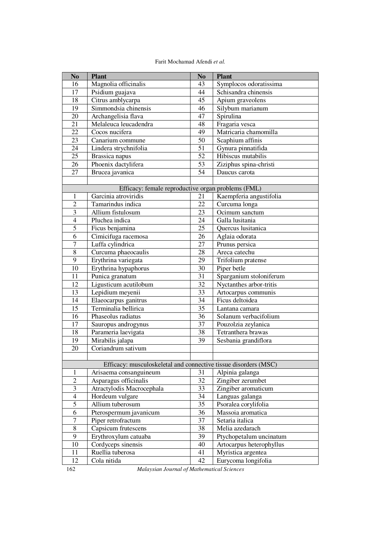| Farit Mochamad Afendi et al. |  |
|------------------------------|--|
|------------------------------|--|

| N <sub>0</sub>          | <b>Plant</b>                                                    | N <sub>0</sub>  | <b>Plant</b>             |
|-------------------------|-----------------------------------------------------------------|-----------------|--------------------------|
| 16                      | Magnolia officinalis                                            | 43              | Symplocos odoratissima   |
| 17                      | Psidium guajava                                                 | 44              | Schisandra chinensis     |
| 18                      | Citrus amblycarpa                                               | 45              | Apium graveolens         |
| 19                      | Simmondsia chinensis                                            | 46              | Silybum marianum         |
| $\overline{20}$         | Archangelisia flava                                             | 47              | Spirulina                |
| $\overline{21}$         | Melaleuca leucadendra                                           | 48              | Fragaria vesca           |
| $\overline{22}$         | Cocos nucifera                                                  | 49              | Matricaria chamomilla    |
| 23                      | Canarium commune                                                | 50              | Scaphium affinis         |
| 24                      | Lindera strychnifolia                                           | 51              | Gynura pinnatifida       |
| 25                      | Brassica napus                                                  | 52              | Hibiscus mutabilis       |
| $\overline{26}$         | Phoenix dactylifera                                             | $5\overline{3}$ | Ziziphus spina-christi   |
| 27                      | Brucea javanica                                                 | 54              | Daucus carota            |
|                         |                                                                 |                 |                          |
|                         | Efficacy: female reproductive organ problems (FML)              |                 |                          |
| 1                       | Garcinia atroviridis                                            | 21              | Kaempferia angustifolia  |
| $\overline{c}$          | Tamarindus indica                                               | 22              | Curcuma longa            |
| $\overline{3}$          | Allium fistulosum                                               | 23              | Ocimum sanctum           |
| $\overline{4}$          | Pluchea indica                                                  | 24              | Galla lusitania          |
| 5                       | Ficus benjamina                                                 | $\overline{25}$ | Quercus lusitanica       |
| 6                       | Cimicifuga racemosa                                             | 26              | Aglaia odorata           |
| $\overline{7}$          | Luffa cylindrica                                                | 27              | Prunus persica           |
| $\overline{8}$          | Curcuma phaeocaulis                                             | 28              | Areca catechu            |
| $\overline{9}$          | Erythrina variegata                                             | $\overline{29}$ | Trifolium pratense       |
| $\overline{10}$         | Erythrina hypaphorus                                            | $\overline{30}$ | Piper betle              |
| 11                      | Punica granatum                                                 | 31              | Sparganium stoloniferum  |
| $\overline{12}$         | Ligusticum acutilobum                                           | 32              | Nyctanthes arbor-tritis  |
| $\overline{13}$         | Lepidium meyenii                                                | 33              | Artocarpus communis      |
| 14                      | Elaeocarpus ganitrus                                            | 34              | Ficus deltoidea          |
| 15                      | Terminalia bellirica                                            | 35              | Lantana camara           |
| 16                      | Phaseolus radiatus                                              | 36              | Solanum verbacifolium    |
| 17                      | Sauropus androgynus                                             | 37              | Pouzolzia zeylanica      |
| $\overline{18}$         | Parameria laevigata                                             | $\overline{38}$ | Tetranthera brawas       |
| 19                      | Mirabilis jalapa                                                | 39              | Sesbania grandiflora     |
| 20                      | Coriandrum sativum                                              |                 |                          |
|                         |                                                                 |                 |                          |
|                         | Efficacy: musculoskeletal and connective tissue disorders (MSC) |                 |                          |
| 1                       | Arisaema consanguineum                                          | 31              | Alpinia galanga          |
| $\overline{2}$          | Asparagus officinalis                                           | 32              | Zingiber zerumbet        |
| $\overline{\mathbf{3}}$ | Atractylodis Macrocephala                                       | 33              | Zingiber aromaticum      |
| $\overline{4}$          | Hordeum vulgare                                                 | 34              | Languas galanga          |
| 5                       | Allium tuberosum                                                | 35              | Psoralea corylifolia     |
| $\overline{6}$          | Pterospermum javanicum                                          | 36              | Massoia aromatica        |
| $\boldsymbol{7}$        | Piper retrofractum                                              | 37              | Setaria italica          |
| $\sqrt{8}$              | Capsicum frutescens                                             | 38              | Melia azedarach          |
| $\overline{9}$          | Erythroxylum catuaba                                            | 39              | Ptychopetalum uncinatum  |
| 10                      | Cordyceps sinensis                                              | 40              | Artocarpus heterophyllus |
| 11                      | Ruellia tuberosa                                                | 41              | Myristica argentea       |
| 12                      | Cola nitida                                                     | 42              | Eurycoma longifolia      |

<sup>162</sup> *Malaysian Journal of Mathematical Sciences*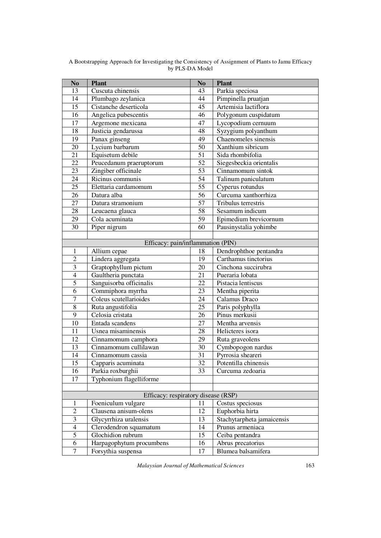| $\mathbf{N}\mathbf{o}$ | <b>Plant</b>                        | N <sub>0</sub>  | <b>Plant</b>               |
|------------------------|-------------------------------------|-----------------|----------------------------|
| $\overline{13}$        | Cuscuta chinensis                   | 43              | Parkia speciosa            |
| 14                     | Plumbago zeylanica                  | 44              | Pimpinella pruatjan        |
| $\overline{15}$        | Cistanche deserticola               | 45              | Artemisia lactiflora       |
| 16                     | Angelica pubescentis                | 46              | Polygonum cuspidatum       |
| 17                     | Argemone mexicana                   | 47              | Lycopodium cernuum         |
| 18                     | Justicia gendarussa                 | 48              | Syzygium polyanthum        |
| $\overline{19}$        | Panax ginseng                       | 49              | Chaenomeles sinensis       |
| 20                     | Lycium barbarum                     | $\overline{50}$ | Xanthium sibricum          |
| 21                     | Equisetum debile                    | 51              | Sida rhombifolia           |
| $\overline{22}$        | Peucedanum praeruptorum             | 52              | Siegesbeckia orientalis    |
| 23                     | Zingiber officinale                 | 53              | Cinnamomum sintok          |
| 24                     | Ricinus communis                    | 54              | Talinum paniculatum        |
| 25                     | Elettaria cardamomum                | $\overline{55}$ | Cyperus rotundus           |
| 26                     | Datura alba                         | 56              | Curcuma xanthorrhiza       |
| $\overline{27}$        | Datura stramonium                   | 57              | Tribulus terrestris        |
| 28                     | Leucaena glauca                     | 58              | Sesamum indicum            |
| $\overline{29}$        | Cola acuminata                      | $\overline{59}$ | Epimedium brevicornum      |
| $\overline{30}$        | Piper nigrum                        | 60              | Pausinystalia yohimbe      |
|                        |                                     |                 |                            |
|                        | Efficacy: pain/inflammation (PIN)   |                 |                            |
| 1                      | Allium cepae                        | 18              | Dendrophthoe pentandra     |
| $\overline{2}$         | Lindera aggregata                   | 19              | Carthamus tinctorius       |
| $\overline{3}$         | Graptophyllum pictum                | 20              | Cinchona succirubra        |
| $\overline{4}$         | Gaultheria punctata                 | 21              | Pueraria lobata            |
| $\overline{5}$         | Sanguisorba officinalis             | 22              | Pistacia lentiscus         |
| $\overline{6}$         | Commiphora myrrha                   | 23              | Mentha piperita            |
| $\overline{7}$         | Coleus scutellarioides              | 24              | Calamus Draco              |
| $\overline{8}$         | Ruta angustifolia                   | $\overline{25}$ | Paris polyphylla           |
| $\overline{9}$         | Celosia cristata                    | 26              | Pinus merkusii             |
| 10                     | Entada scandens                     | $\overline{27}$ | Mentha arvensis            |
| 11                     | Usnea misaminensis                  | 28              | Helicteres isora           |
| $\overline{12}$        | Cinnamomum camphora                 | 29              | Ruta graveolens            |
| 13                     | Cinnamomum cullilawan               | 30              | Cymbopogon nardus          |
| $\overline{14}$        | Cinnamomum cassia                   | 31              | Pyrrosia sheareri          |
| $\overline{15}$        | Capparis acuminata                  | $\overline{32}$ | Potentilla chinensis       |
| 16                     | Parkia roxburghii                   | 33              | Curcuma zedoaria           |
| 17                     | Typhonium flagelliforme             |                 |                            |
|                        |                                     |                 |                            |
|                        | Efficacy: respiratory disease (RSP) |                 |                            |
| $\mathbf{1}$           | Foeniculum vulgare                  | 11              | Costus speciosus           |
| $\overline{2}$         | Clausena anisum-olens               | 12              | Euphorbia hirta            |
| $\overline{3}$         | Glycyrrhiza uralensis               | 13              | Stachytarpheta jamaicensis |
| $\overline{4}$         | Clerodendron squamatum              | 14              | Prunus armeniaca           |
| $\overline{5}$         | Glochidion rubrum                   | $\overline{15}$ | Ceiba pentandra            |
| 6                      | Harpagophytum procumbens            | 16              | Abrus precatorius          |
| 7                      | Forsythia suspensa                  | 17              | Blumea balsamifera         |